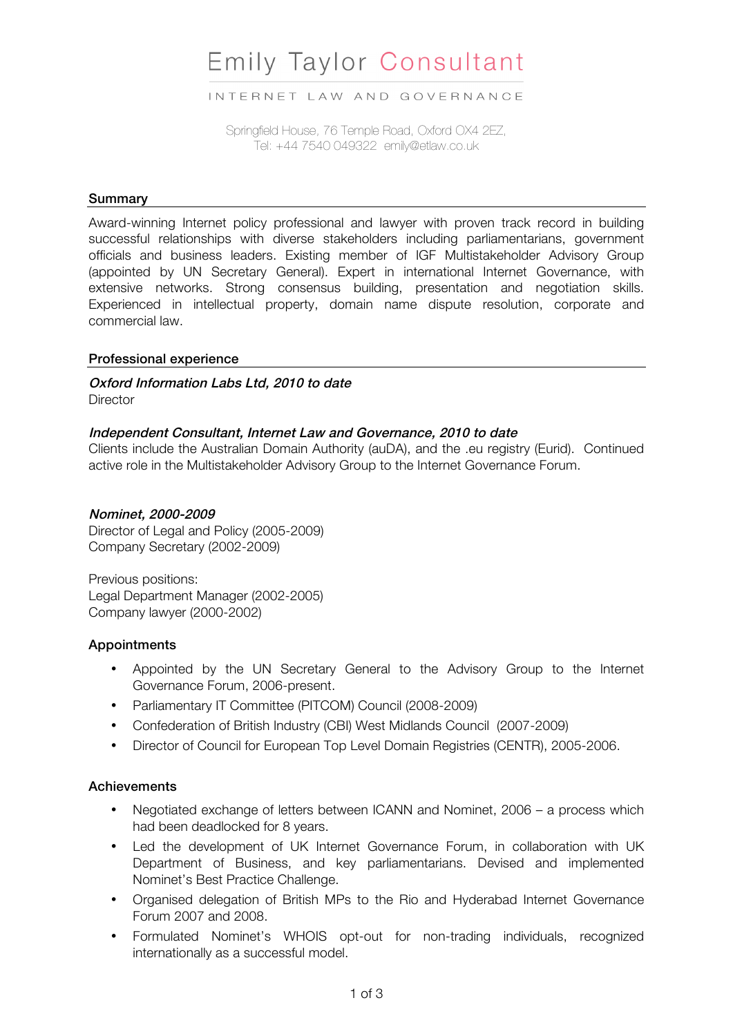# **Emily Taylor Consultant**

INTERNET LAW AND GOVERNANCE

Springfield House, 76 Temple Road, Oxford OX4 2EZ, Tel: +44 7540 049322 emily@etlaw.co.uk

## **Summary**

Award-winning Internet policy professional and lawyer with proven track record in building successful relationships with diverse stakeholders including parliamentarians, government officials and business leaders. Existing member of IGF Multistakeholder Advisory Group (appointed by UN Secretary General). Expert in international Internet Governance, with extensive networks. Strong consensus building, presentation and negotiation skills. Experienced in intellectual property, domain name dispute resolution, corporate and commercial law.

#### Professional experience

# Oxford Information Labs Ltd, 2010 to date

**Director** 

#### Independent Consultant, Internet Law and Governance, 2010 to date

Clients include the Australian Domain Authority (auDA), and the .eu registry (Eurid). Continued active role in the Multistakeholder Advisory Group to the Internet Governance Forum.

#### Nominet, 2000-2009

Director of Legal and Policy (2005-2009) Company Secretary (2002-2009)

Previous positions: Legal Department Manager (2002-2005) Company lawyer (2000-2002)

#### **Appointments**

- Appointed by the UN Secretary General to the Advisory Group to the Internet Governance Forum, 2006-present.
- Parliamentary IT Committee (PITCOM) Council (2008-2009)
- Confederation of British Industry (CBI) West Midlands Council (2007-2009)
- Director of Council for European Top Level Domain Registries (CENTR), 2005-2006.

## **Achievements**

- Negotiated exchange of letters between ICANN and Nominet, 2006 a process which had been deadlocked for 8 years.
- Led the development of UK Internet Governance Forum, in collaboration with UK Department of Business, and key parliamentarians. Devised and implemented Nominet's Best Practice Challenge.
- Organised delegation of British MPs to the Rio and Hyderabad Internet Governance Forum 2007 and 2008.
- Formulated Nominet's WHOIS opt-out for non-trading individuals, recognized internationally as a successful model.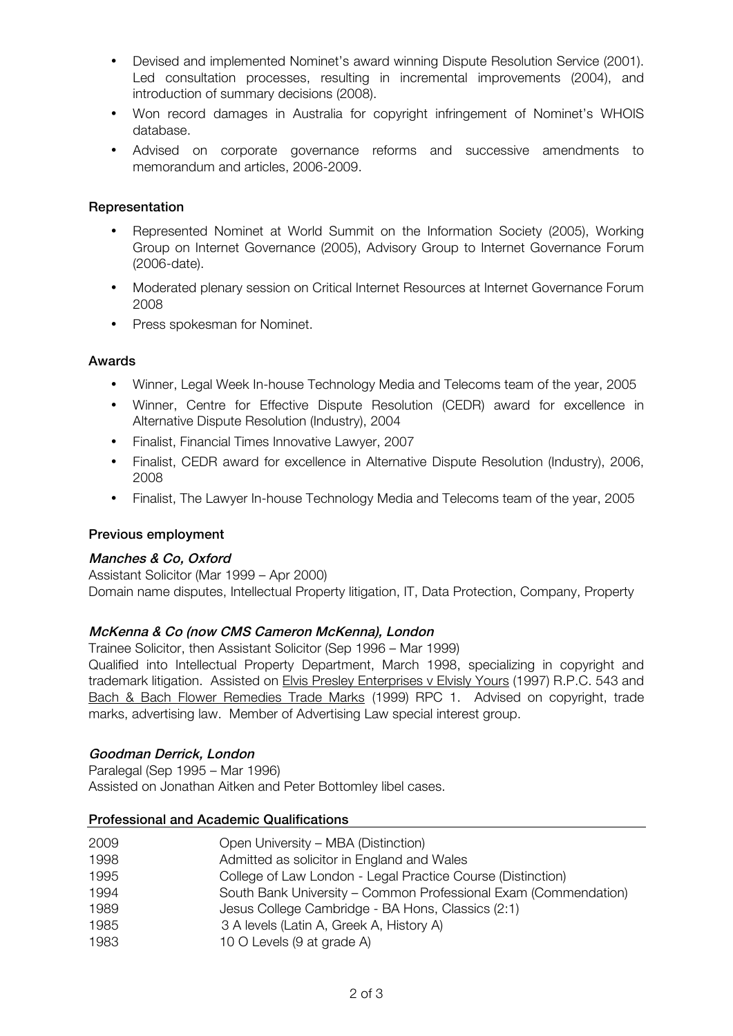- Devised and implemented Nominet's award winning Dispute Resolution Service (2001). Led consultation processes, resulting in incremental improvements (2004), and introduction of summary decisions (2008).
- Won record damages in Australia for copyright infringement of Nominet's WHOIS database.
- Advised on corporate governance reforms and successive amendments to memorandum and articles, 2006-2009.

#### **Representation**

- Represented Nominet at World Summit on the Information Society (2005), Working Group on Internet Governance (2005), Advisory Group to Internet Governance Forum (2006-date).
- Moderated plenary session on Critical Internet Resources at Internet Governance Forum 2008
- Press spokesman for Nominet.

#### Awards

- Winner, Legal Week In-house Technology Media and Telecoms team of the year, 2005
- Winner, Centre for Effective Dispute Resolution (CEDR) award for excellence in Alternative Dispute Resolution (Industry), 2004
- Finalist, Financial Times Innovative Lawyer, 2007
- Finalist, CEDR award for excellence in Alternative Dispute Resolution (Industry), 2006, 2008
- Finalist, The Lawyer In-house Technology Media and Telecoms team of the year, 2005

## Previous employment

## Manches & Co, Oxford

Assistant Solicitor (Mar 1999 – Apr 2000) Domain name disputes, Intellectual Property litigation, IT, Data Protection, Company, Property

## McKenna & Co (now CMS Cameron McKenna), London

Trainee Solicitor, then Assistant Solicitor (Sep 1996 – Mar 1999)

Qualified into Intellectual Property Department, March 1998, specializing in copyright and trademark litigation. Assisted on Elvis Presley Enterprises v Elvisly Yours (1997) R.P.C. 543 and Bach & Bach Flower Remedies Trade Marks (1999) RPC 1. Advised on copyright, trade marks, advertising law. Member of Advertising Law special interest group.

## Goodman Derrick, London

Paralegal (Sep 1995 – Mar 1996) Assisted on Jonathan Aitken and Peter Bottomley libel cases.

#### Professional and Academic Qualifications

| 2009 | Open University – MBA (Distinction)                             |
|------|-----------------------------------------------------------------|
| 1998 | Admitted as solicitor in England and Wales                      |
| 1995 | College of Law London - Legal Practice Course (Distinction)     |
| 1994 | South Bank University - Common Professional Exam (Commendation) |
| 1989 | Jesus College Cambridge - BA Hons, Classics (2:1)               |
| 1985 | 3 A levels (Latin A, Greek A, History A)                        |
| 1983 | 10 O Levels (9 at grade A)                                      |